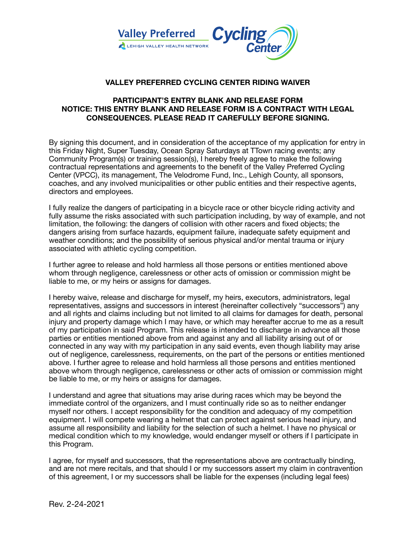

## **VALLEY PREFERRED CYCLING CENTER RIDING WAIVER**

## **PARTICIPANT'S ENTRY BLANK AND RELEASE FORM NOTICE: THIS ENTRY BLANK AND RELEASE FORM IS A CONTRACT WITH LEGAL CONSEQUENCES. PLEASE READ IT CAREFULLY BEFORE SIGNING.**

By signing this document, and in consideration of the acceptance of my application for entry in this Friday Night, Super Tuesday, Ocean Spray Saturdays at TTown racing events; any Community Program(s) or training session(s), I hereby freely agree to make the following contractual representations and agreements to the benefit of the Valley Preferred Cycling Center (VPCC), its management, The Velodrome Fund, Inc., Lehigh County, all sponsors, coaches, and any involved municipalities or other public entities and their respective agents, directors and employees.

I fully realize the dangers of participating in a bicycle race or other bicycle riding activity and fully assume the risks associated with such participation including, by way of example, and not limitation, the following: the dangers of collision with other racers and fixed objects; the dangers arising from surface hazards, equipment failure, inadequate safety equipment and weather conditions; and the possibility of serious physical and/or mental trauma or injury associated with athletic cycling competition.

I further agree to release and hold harmless all those persons or entities mentioned above whom through negligence, carelessness or other acts of omission or commission might be liable to me, or my heirs or assigns for damages.

I hereby waive, release and discharge for myself, my heirs, executors, administrators, legal representatives, assigns and successors in interest (hereinafter collectively "successors") any and all rights and claims including but not limited to all claims for damages for death, personal injury and property damage which I may have, or which may hereafter accrue to me as a result of my participation in said Program. This release is intended to discharge in advance all those parties or entities mentioned above from and against any and all liability arising out of or connected in any way with my participation in any said events, even though liability may arise out of negligence, carelessness, requirements, on the part of the persons or entities mentioned above. I further agree to release and hold harmless all those persons and entities mentioned above whom through negligence, carelessness or other acts of omission or commission might be liable to me, or my heirs or assigns for damages.

I understand and agree that situations may arise during races which may be beyond the immediate control of the organizers, and I must continually ride so as to neither endanger myself nor others. I accept responsibility for the condition and adequacy of my competition equipment. I will compete wearing a helmet that can protect against serious head injury, and assume all responsibility and liability for the selection of such a helmet. I have no physical or medical condition which to my knowledge, would endanger myself or others if I participate in this Program.

I agree, for myself and successors, that the representations above are contractually binding, and are not mere recitals, and that should I or my successors assert my claim in contravention of this agreement, I or my successors shall be liable for the expenses (including legal fees)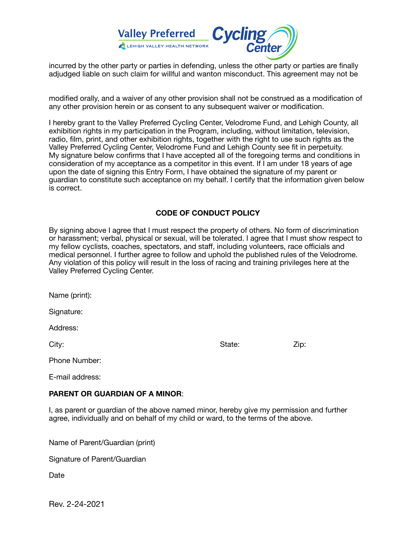

incurred by the other party or parties in defending, unless the other party or parties are finally adjudged liable on such claim for willful and wanton misconduct. This agreement may not be

modified orally, and a waiver of any other provision shall not be construed as a modification of any other provision herein or as consent to any subsequent waiver or modification.

I hereby grant to the Valley Preferred Cycling Center, Velodrome Fund, and Lehigh County, all exhibition rights in my participation in the Program, including, without limitation, television, radio, film, print, and other exhibition rights, together with the right to use such rights as the Valley Preferred Cycling Center, Velodrome Fund and Lehigh County see fit in perpetuity. My signature below confirms that I have accepted all of the foregoing terms and conditions in consideration of my acceptance as a competitor in this event. If I am under 18 years of age upon the date of signing this Entry Form, I have obtained the signature of my parent or guardian to constitute such acceptance on my behalf. I certify that the information given below is correct.

## **CODE OF CONDUCT POLICY**

By signing above I agree that I must respect the property of others. No form of discrimination or harassment; verbal, physical or sexual, will be tolerated. I agree that I must show respect to my fellow cyclists, coaches, spectators, and staff, including volunteers, race officials and medical personnel. I further agree to follow and uphold the published rules of the Velodrome. Any violation of this policy will result in the loss of racing and training privileges here at the Valley Preferred Cycling Center.

Name (print):

Signature:

Address:

City: State: Zip:

Phone Number:

E-mail address:

#### **PARENT OR GUARDIAN OF A MINOR**:

I, as parent or guardian of the above named minor, hereby give my permission and further agree, individually and on behalf of my child or ward, to the terms of the above.

Name of Parent/Guardian (print)

Signature of Parent/Guardian

Date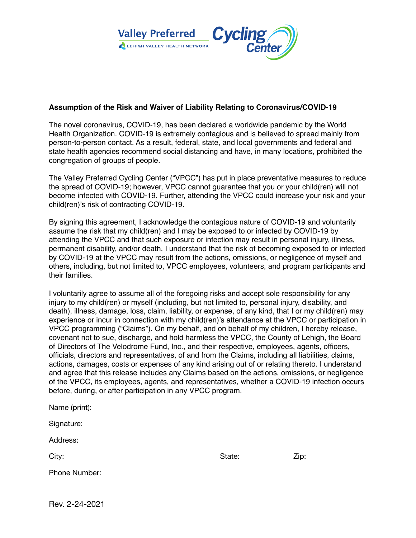

## **Assumption of the Risk and Waiver of Liability Relating to Coronavirus/COVID-19**

The novel coronavirus, COVID-19, has been declared a worldwide pandemic by the World Health Organization. COVID-19 is extremely contagious and is believed to spread mainly from person-to-person contact. As a result, federal, state, and local governments and federal and state health agencies recommend social distancing and have, in many locations, prohibited the congregation of groups of people.

The Valley Preferred Cycling Center ("VPCC") has put in place preventative measures to reduce the spread of COVID-19; however, VPCC cannot guarantee that you or your child(ren) will not become infected with COVID-19. Further, attending the VPCC could increase your risk and your child(ren)'s risk of contracting COVID-19.

By signing this agreement, I acknowledge the contagious nature of COVID-19 and voluntarily assume the risk that my child(ren) and I may be exposed to or infected by COVID-19 by attending the VPCC and that such exposure or infection may result in personal injury, illness, permanent disability, and/or death. I understand that the risk of becoming exposed to or infected by COVID-19 at the VPCC may result from the actions, omissions, or negligence of myself and others, including, but not limited to, VPCC employees, volunteers, and program participants and their families.

I voluntarily agree to assume all of the foregoing risks and accept sole responsibility for any injury to my child(ren) or myself (including, but not limited to, personal injury, disability, and death), illness, damage, loss, claim, liability, or expense, of any kind, that I or my child(ren) may experience or incur in connection with my child(ren)'s attendance at the VPCC or participation in VPCC programming ("Claims"). On my behalf, and on behalf of my children, I hereby release, covenant not to sue, discharge, and hold harmless the VPCC, the County of Lehigh, the Board of Directors of The Velodrome Fund, Inc., and their respective, employees, agents, officers, officials, directors and representatives, of and from the Claims, including all liabilities, claims, actions, damages, costs or expenses of any kind arising out of or relating thereto. I understand and agree that this release includes any Claims based on the actions, omissions, or negligence of the VPCC, its employees, agents, and representatives, whether a COVID-19 infection occurs before, during, or after participation in any VPCC program.

| Name (print): |        |      |
|---------------|--------|------|
| Signature:    |        |      |
| Address:      |        |      |
| City:         | State: | Zip: |
| Phone Number: |        |      |
|               |        |      |